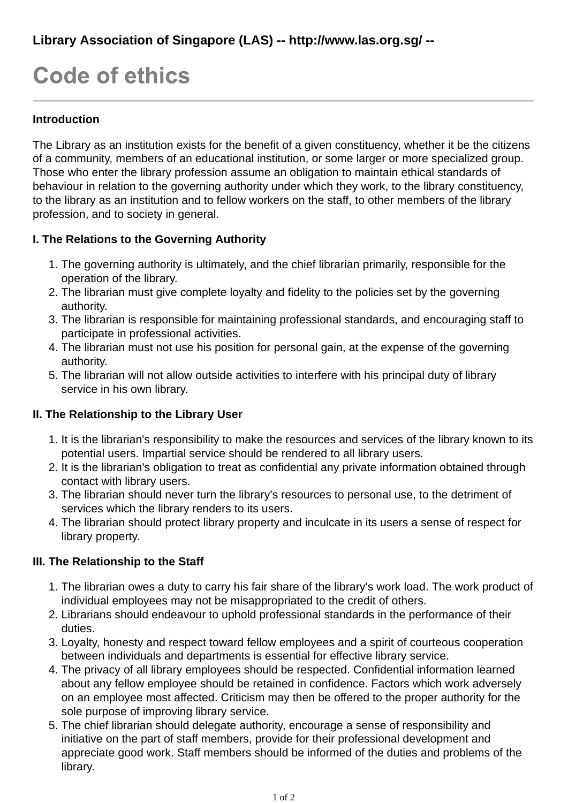# **Code of ethics**

#### **Introduction**

The Library as an institution exists for the benefit of a given constituency, whether it be the citizens of a community, members of an educational institution, or some larger or more specialized group. Those who enter the library profession assume an obligation to maintain ethical standards of behaviour in relation to the governing authority under which they work, to the library constituency, to the library as an institution and to fellow workers on the staff, to other members of the library profession, and to society in general.

# **I. The Relations to the Governing Authority**

- 1. The governing authority is ultimately, and the chief librarian primarily, responsible for the operation of the library.
- 2. The librarian must give complete loyalty and fidelity to the policies set by the governing authority.
- 3. The librarian is responsible for maintaining professional standards, and encouraging staff to participate in professional activities.
- The librarian must not use his position for personal gain, at the expense of the governing 4. authority.
- 5. The librarian will not allow outside activities to interfere with his principal duty of library service in his own library.

# **II. The Relationship to the Library User**

- 1. It is the librarian's responsibility to make the resources and services of the library known to its potential users. Impartial service should be rendered to all library users.
- 2. It is the librarian's obligation to treat as confidential any private information obtained through contact with library users.
- 3. The librarian should never turn the library's resources to personal use, to the detriment of services which the library renders to its users.
- The librarian should protect library property and inculcate in its users a sense of respect for 4. library property.

#### **III. The Relationship to the Staff**

- 1. The librarian owes a duty to carry his fair share of the library's work load. The work product of individual employees may not be misappropriated to the credit of others.
- 2. Librarians should endeavour to uphold professional standards in the performance of their duties.
- 3. Loyalty, honesty and respect toward fellow employees and a spirit of courteous cooperation between individuals and departments is essential for effective library service.
- The privacy of all library employees should be respected. Confidential information learned 4. about any fellow employee should be retained in confidence. Factors which work adversely on an employee most affected. Criticism may then be offered to the proper authority for the sole purpose of improving library service.
- 5. The chief librarian should delegate authority, encourage a sense of responsibility and initiative on the part of staff members, provide for their professional development and appreciate good work. Staff members should be informed of the duties and problems of the library.